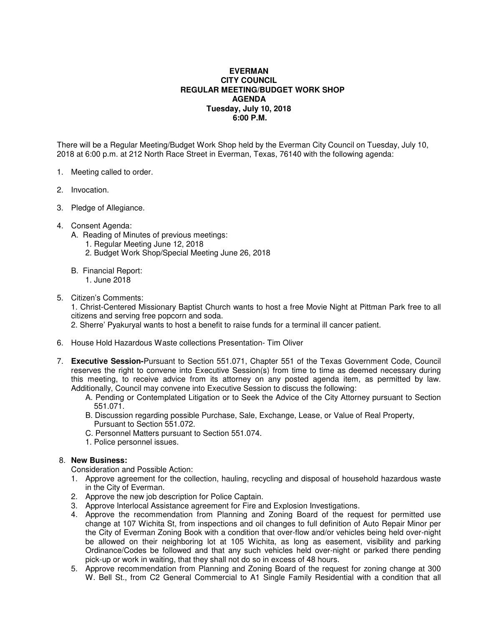## **EVERMAN CITY COUNCIL REGULAR MEETING/BUDGET WORK SHOP AGENDA Tuesday, July 10, 2018 6:00 P.M.**

There will be a Regular Meeting/Budget Work Shop held by the Everman City Council on Tuesday, July 10, 2018 at 6:00 p.m. at 212 North Race Street in Everman, Texas, 76140 with the following agenda:

- 1. Meeting called to order.
- 2. Invocation.
- 3. Pledge of Allegiance.
- 4. Consent Agenda:
	- A. Reading of Minutes of previous meetings:
		- 1. Regular Meeting June 12, 2018
		- 2. Budget Work Shop/Special Meeting June 26, 2018
	- B. Financial Report:
		- 1. June 2018
- 5. Citizen's Comments:

1. Christ-Centered Missionary Baptist Church wants to host a free Movie Night at Pittman Park free to all citizens and serving free popcorn and soda.

2. Sherre' Pyakuryal wants to host a benefit to raise funds for a terminal ill cancer patient.

- 6. House Hold Hazardous Waste collections Presentation- Tim Oliver
- 7. **Executive Session-**Pursuant to Section 551.071, Chapter 551 of the Texas Government Code, Council reserves the right to convene into Executive Session(s) from time to time as deemed necessary during this meeting, to receive advice from its attorney on any posted agenda item, as permitted by law. Additionally, Council may convene into Executive Session to discuss the following:
	- A. Pending or Contemplated Litigation or to Seek the Advice of the City Attorney pursuant to Section 551.071.
	- B. Discussion regarding possible Purchase, Sale, Exchange, Lease, or Value of Real Property, Pursuant to Section 551.072.
	- C. Personnel Matters pursuant to Section 551.074.
	- 1. Police personnel issues.

## 8. **New Business:**

Consideration and Possible Action:

- 1. Approve agreement for the collection, hauling, recycling and disposal of household hazardous waste in the City of Everman.
- 2. Approve the new job description for Police Captain.
- 3. Approve Interlocal Assistance agreement for Fire and Explosion Investigations.
- 4. Approve the recommendation from Planning and Zoning Board of the request for permitted use change at 107 Wichita St, from inspections and oil changes to full definition of Auto Repair Minor per the City of Everman Zoning Book with a condition that over-flow and/or vehicles being held over-night be allowed on their neighboring lot at 105 Wichita, as long as easement, visibility and parking Ordinance/Codes be followed and that any such vehicles held over-night or parked there pending pick-up or work in waiting, that they shall not do so in excess of 48 hours.
- 5. Approve recommendation from Planning and Zoning Board of the request for zoning change at 300 W. Bell St., from C2 General Commercial to A1 Single Family Residential with a condition that all